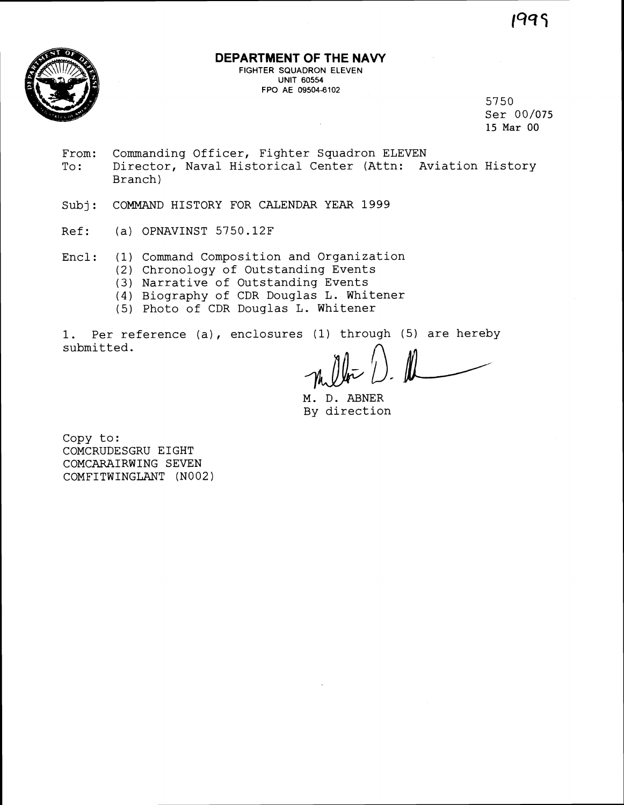1999



## **DEPARTMENT OF THE NAVY**

FIGHTER SQUADRON ELEVEN UNIT **60554**  FPO AE 09504-6102

5750 Ser 00/075 **15** Mar 00

- From: Commanding Officer, Fighter Squadron ELEVEN To: Director, Naval Historical Center (Attn: Aviation History Branch)
- Subj: COMMAND HISTORY FOR CALENDAR YEAR 1999
- Ref: (a) OPNAVINST 5750.12F
- Encl: (1) Command Composition and Organization
	- (2) Chronology of Outstanding Events
	- **(3)** Narrative of Outstanding Events
	- (4) Biography of CDR Douglas L. Whitener
	- (5) Photo of CDR Douglas L. Whitener

1. Per reference (a), enclosures (1) through (5) are hereby submitted.

 $\mathbb{R}$ 

M. D. ABNER By direction

Copy to: COMCRUDESGRU EIGHT COMCARAIRWING SEVEN COMFITWINGLANT (N002)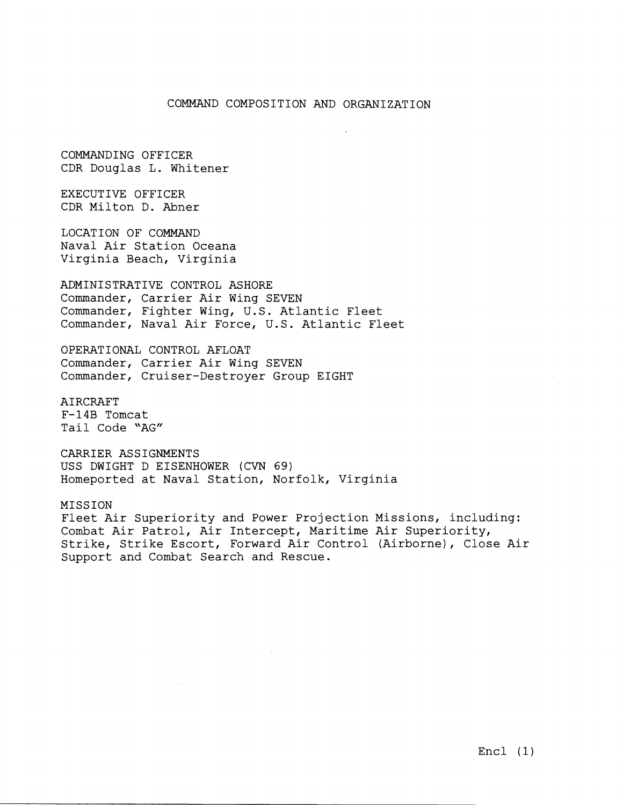## COMMAND COMPOSITION AND ORGANIZATION

COMMANDING OFFICER CDR Douglas L. Whitener

EXECUTIVE OFFICER CDR Milton D. Abner

LOCATION OF COMMAND Naval Air Station Oceana Virginia Beach, Virginia

ADMINISTRATIVE CONTROL ASHORE Commander, Carrier Air Wing SEVEN Commander, Fighter Wing, U.S. Atlantic Fleet Commander, Naval Air Force, U.S. Atlantic Fleet

OPERATIONAL CONTROL AFLOAT Commander, Carrier Air Wing SEVEN Commander, Cruiser-Destroyer Group EIGHT

AIRCRAFT F-14B Tomcat Tail Code "AG"

CARRIER ASSIGNMENTS USS DWIGHT D EISENHOWER (CVN 69) Homeported at Naval Station, Norfolk, Virginia

MISSION Fleet Air Superiority and Power Projection Missions, including: Combat Air Patrol, Air Intercept, Maritime Air Superiority, Strike, Strike Escort, Forward Air Control (Airborne), Close Air Support and Combat Search and Rescue.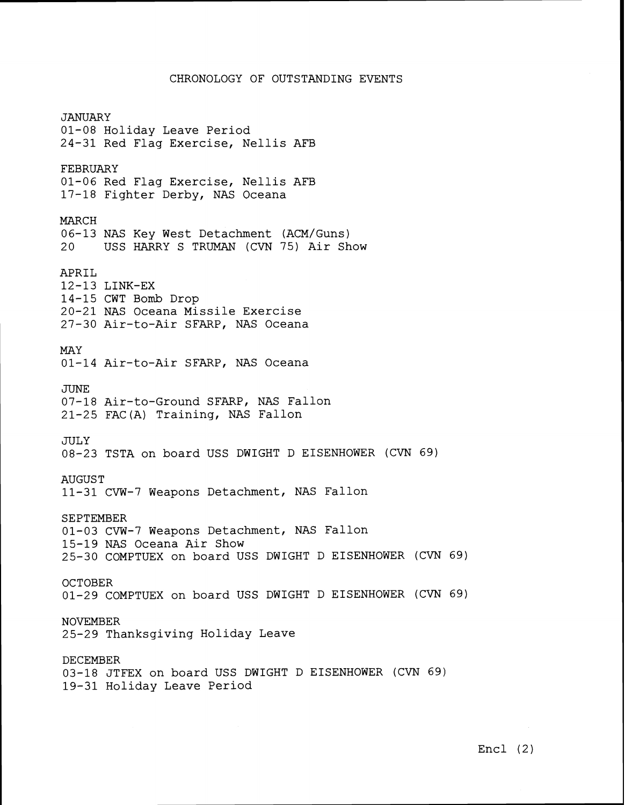## CHRONOLOGY OF OUTSTANDING EVENTS

*JANUARY* 01-08 Holiday Leave Period 24-31 Red Flag Exercise, Nellis AFB FEBRUARY 01-06 Red Flag Exercise, Nellis AFB 17-18 Fighter Derby, NAS Oceana MARCH 06-13 NAS Key West Detachment (ACM/Guns) 20 USS HARRY S TRUMAN (CVN 75) Air Show APRIL 12-13 LINK-EX 14-15 CWT Bomb Drop 20-21 NAS Oceana Missile Exercise 27-30 Air-to-Air SFARP, NAS Oceana MAY 01-14 Air-to-Air SFARP, NAS Oceana JUNE 07-18 Air-to-Ground SFARP, NAS Fallon 21-25 FAC (A) Training, NAS Fallon JULY 08-23 TSTA on board USS DWIGHT D EISENHOWER (CVN 69) AUGUST 11-31 CVW-7 Weapons Detachment, NAS Fallon SEPTEMBER 01-03 CW-7 Weapons Detachment, NAS Fallon 15-19 NAS Oceana Air Show 25-30 COMPTUEX on board USS DWIGHT D EISENHOWER (CVN 69) **OCTOBER** 01-29 COMPTUEX on board USS DWIGHT D EISENHOWER (CVN 69) NOVEMBER 25-29 Thanksgiving Holiday Leave DECEMBER 03-18 JTFEX on board USS DWIGHT D EISENHOWER (CVN 69) 19-31 Holiday Leave Period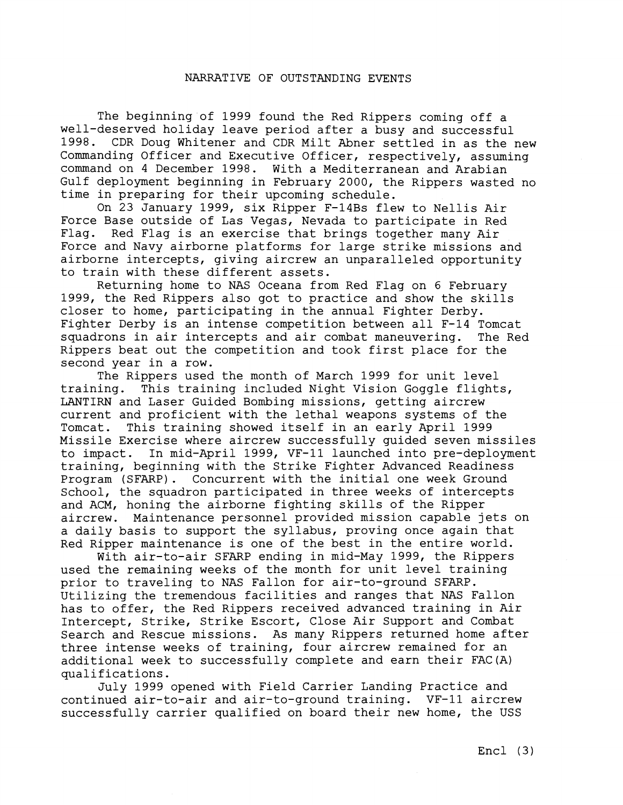## NARRATIVE OF OUTSTANDING EVENTS

The beginning of 1999 found the Red Rippers coming off a well-deserved holiday leave period after a busy and successful 1998. CDR Doug Whitener and CDR Milt Abner settled in as the new Commanding Officer and Executive Officer, respectively, assuming command on 4 December 1998. With a Mediterranean and Arabian Gulf deployment beginning in February 2000, the Rippers wasted no time in preparing for their upcoming schedule.

On 23 January 1999, six Ripper F-14Bs flew to Nellis Air Force Base outside of Las Vegas, Nevada to participate in Red Flag. Red Flag is an exercise that brings together many Air Force and Navy airborne platforms for large strike missions and airborne intercepts, giving aircrew an unparalleled opportunity to train with these different assets.

Returning home to NAS Oceana from Red Flag on 6 February 1999, the Red Rippers also got to practice and show the skills closer to home, participating in the annual Fighter Derby. Fighter Derby is an intense competition between all F-14 Tomcat squadrons in air intercepts and air combat maneuvering. The Red Rippers beat out the competition and took first place for the second year in a row.

The Rippers used the month of March 1999 for unit level training. This training included Night Vision Goggle flights, LANTIRN and Laser Guided Bombing missions, getting aircrew current and proficient with the lethal weapons systems of the Tomcat. This training showed itself in an early April 1999 Missile Exercise where aircrew successfully guided seven missiles to impact. In mid-April 1999, VF-11 launched into pre-deployment training, beginning with the Strike Fighter Advanced Readiness Program (SFARP). Concurrent with the initial one week Ground School, the squadron participated in three weeks of intercepts and ACM, honing the airborne fighting skills of the Ripper aircrew. Maintenance personnel provided mission capable jets on a daily basis to support the syllabus, proving once again that Red Ripper maintenance is one of the best in the entire world.

With air-to-air SFARP ending in mid-May 1999, the Rippers used the remaining weeks of the month for unit level training prior to traveling to NAS Fallon for air-to-ground SFARP. Utilizing the tremendous facilities and ranges that NAS Fallon has to offer, the Red Rippers received advanced training in Air Intercept, Strike, Strike Escort, Close Air Support and Combat Search and Rescue missions. As many Rippers returned home after three intense weeks of training, four aircrew remained for an additional week to successfully complete and earn their FAC(A) qualifications.

July 1999 opened with Field Carrier Landing Practice and continued air-to-air and air-to-ground training. VF-11 aircrew successfully carrier qualified on board their new home, the USS